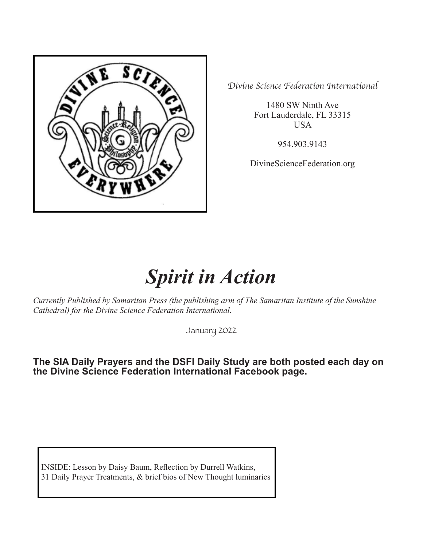

*Divine Science Federation International*

1480 SW Ninth Ave Fort Lauderdale, FL 33315 USA

954.903.9143

DivineScienceFederation.org

# *Spirit in Action*

*Currently Published by Samaritan Press (the publishing arm of The Samaritan Institute of the Sunshine Cathedral) for the Divine Science Federation International.*

January 2022

**The SIA Daily Prayers and the DSFI Daily Study are both posted each day on the Divine Science Federation International Facebook page.** 

INSIDE: Lesson by Daisy Baum, Reflection by Durrell Watkins, 31 Daily Prayer Treatments, & brief bios of New Thought luminaries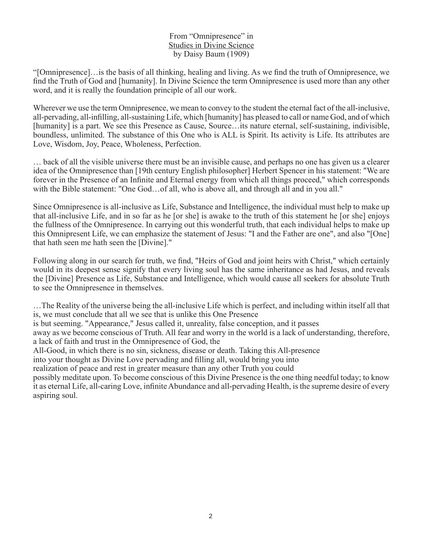#### From "Omnipresence" in Studies in Divine Science by Daisy Baum (1909)

"[Omnipresence]…is the basis of all thinking, healing and living. As we find the truth of Omnipresence, we find the Truth of God and [humanity]. In Divine Science the term Omnipresence is used more than any other word, and it is really the foundation principle of all our work.

Wherever we use the term Omnipresence, we mean to convey to the student the eternal fact of the all-inclusive, all-pervading, all-infilling, all-sustaining Life, which [humanity] has pleased to call or name God, and of which [humanity] is a part. We see this Presence as Cause, Source…its nature eternal, self-sustaining, indivisible, boundless, unlimited. The substance of this One who is ALL is Spirit. Its activity is Life. Its attributes are Love, Wisdom, Joy, Peace, Wholeness, Perfection.

… back of all the visible universe there must be an invisible cause, and perhaps no one has given us a clearer idea of the Omnipresence than [19th century English philosopher] Herbert Spencer in his statement: "We are forever in the Presence of an Infinite and Eternal energy from which all things proceed," which corresponds with the Bible statement: "One God...of all, who is above all, and through all and in you all."

Since Omnipresence is all-inclusive as Life, Substance and Intelligence, the individual must help to make up that all-inclusive Life, and in so far as he [or she] is awake to the truth of this statement he [or she] enjoys the fullness of the Omnipresence. In carrying out this wonderful truth, that each individual helps to make up this Omnipresent Life, we can emphasize the statement of Jesus: "I and the Father are one", and also "[One] that hath seen me hath seen the [Divine]."

Following along in our search for truth, we find, "Heirs of God and joint heirs with Christ," which certainly would in its deepest sense signify that every living soul has the same inheritance as had Jesus, and reveals the [Divine] Presence as Life, Substance and Intelligence, which would cause all seekers for absolute Truth to see the Omnipresence in themselves.

…The Reality of the universe being the all-inclusive Life which is perfect, and including within itself all that is, we must conclude that all we see that is unlike this One Presence is but seeming. "Appearance," Jesus called it, unreality, false conception, and it passes away as we become conscious of Truth. All fear and worry in the world is a lack of understanding, therefore, a lack of faith and trust in the Omnipresence of God, the All-Good, in which there is no sin, sickness, disease or death. Taking this All-presence into your thought as Divine Love pervading and filling all, would bring you into realization of peace and rest in greater measure than any other Truth you could possibly meditate upon. To become conscious of this Divine Presence is the one thing needful today; to know

it as eternal Life, all-caring Love, infinite Abundance and all-pervading Health, is the supreme desire of every aspiring soul.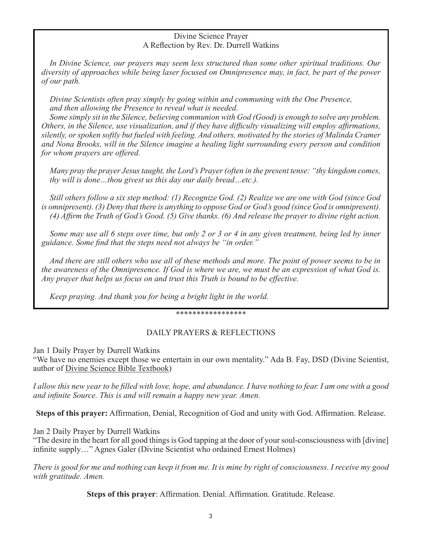#### Divine Science Prayer A Reflection by Rev. Dr. Durrell Watkins

*In Divine Science, our prayers may seem less structured than some other spiritual traditions. Our diversity of approaches while being laser focused on Omnipresence may, in fact, be part of the power of our path.* 

*Divine Scientists often pray simply by going within and communing with the One Presence, and then allowing the Presence to reveal what is needed.* 

*Some simply sit in the Silence, believing communion with God (Good) is enough to solve any problem. Others, in the Silence, use visualization, and if they have difficulty visualizing will employ affirmations, silently, or spoken softly but fueled with feeling. And others, motivated by the stories of Malinda Cramer and Nona Brooks, will in the Silence imagine a healing light surrounding every person and condition for whom prayers are offered.*

*Many pray the prayer Jesus taught, the Lord's Prayer (often in the present tense: "thy kingdom comes, thy will is done…thou givest us this day our daily bread…etc.).* 

*Still others follow a six step method: (1) Recognize God. (2) Realize we are one with God (since God is omnipresent). (3) Deny that there is anything to oppose God or God's good (since God is omnipresent). (4) Affirm the Truth of God's Good. (5) Give thanks. (6) And release the prayer to divine right action.* 

*Some may use all 6 steps over time, but only 2 or 3 or 4 in any given treatment, being led by inner guidance. Some find that the steps need not always be "in order."*

*And there are still others who use all of these methods and more. The point of power seems to be in the awareness of the Omnipresence. If God is where we are, we must be an expression of what God is. Any prayer that helps us focus on and trust this Truth is bound to be effective.* 

*Keep praying. And thank you for being a bright light in the world.*

\*\*\*\*\*\*\*\*\*\*\*\*\*\*\*\*\*

# DAILY PRAYERS & REFLECTIONS

Jan 1 Daily Prayer by Durrell Watkins

"We have no enemies except those we entertain in our own mentality." Ada B. Fay, DSD (Divine Scientist, author of Divine Science Bible Textbook)

*I allow this new year to be filled with love, hope, and abundance. I have nothing to fear. I am one with a good and infinite Source. This is and will remain a happy new year. Amen.*

**Steps of this prayer:** Affirmation, Denial, Recognition of God and unity with God. Affirmation. Release.

Jan 2 Daily Prayer by Durrell Watkins

"The desire in the heart for all good things is God tapping at the door of your soul-consciousness with [divine] infinite supply…" Agnes Galer (Divine Scientist who ordained Ernest Holmes)

*There is good for me and nothing can keep it from me. It is mine by right of consciousness. I receive my good with gratitude. Amen.*

**Steps of this prayer**: Affirmation. Denial. Affirmation. Gratitude. Release.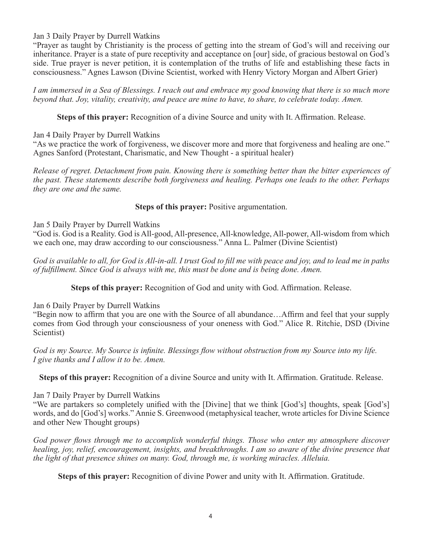# Jan 3 Daily Prayer by Durrell Watkins

"Prayer as taught by Christianity is the process of getting into the stream of God's will and receiving our inheritance. Prayer is a state of pure receptivity and acceptance on [our] side, of gracious bestowal on God's side. True prayer is never petition, it is contemplation of the truths of life and establishing these facts in consciousness." Agnes Lawson (Divine Scientist, worked with Henry Victory Morgan and Albert Grier)

*I am immersed in a Sea of Blessings. I reach out and embrace my good knowing that there is so much more beyond that. Joy, vitality, creativity, and peace are mine to have, to share, to celebrate today. Amen.*

**Steps of this prayer:** Recognition of a divine Source and unity with It. Affirmation. Release.

Jan 4 Daily Prayer by Durrell Watkins

"As we practice the work of forgiveness, we discover more and more that forgiveness and healing are one." Agnes Sanford (Protestant, Charismatic, and New Thought - a spiritual healer)

*Release of regret. Detachment from pain. Knowing there is something better than the bitter experiences of the past. These statements describe both forgiveness and healing. Perhaps one leads to the other. Perhaps they are one and the same.*

#### **Steps of this prayer:** Positive argumentation.

Jan 5 Daily Prayer by Durrell Watkins

"God is. God is a Reality. God is All-good, All-presence, All-knowledge, All-power, All-wisdom from which we each one, may draw according to our consciousness." Anna L. Palmer (Divine Scientist)

*God is available to all, for God is All-in-all. I trust God to fill me with peace and joy, and to lead me in paths of fulfillment. Since God is always with me, this must be done and is being done. Amen.*

**Steps of this prayer:** Recognition of God and unity with God. Affirmation. Release.

Jan 6 Daily Prayer by Durrell Watkins

"Begin now to affirm that you are one with the Source of all abundance…Affirm and feel that your supply comes from God through your consciousness of your oneness with God." Alice R. Ritchie, DSD (Divine Scientist)

*God is my Source. My Source is infinite. Blessings flow without obstruction from my Source into my life. I give thanks and I allow it to be. Amen.* 

**Steps of this prayer:** Recognition of a divine Source and unity with It. Affirmation. Gratitude. Release.

#### Jan 7 Daily Prayer by Durrell Watkins

"We are partakers so completely unified with the [Divine] that we think [God's] thoughts, speak [God's] words, and do [God's] works." Annie S. Greenwood (metaphysical teacher, wrote articles for Divine Science and other New Thought groups)

*God power flows through me to accomplish wonderful things. Those who enter my atmosphere discover healing, joy, relief, encouragement, insights, and breakthroughs. I am so aware of the divine presence that the light of that presence shines on many. God, through me, is working miracles. Alleluia.*

**Steps of this prayer:** Recognition of divine Power and unity with It. Affirmation. Gratitude.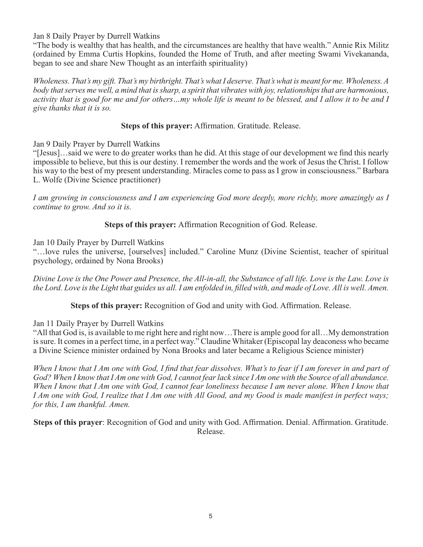Jan 8 Daily Prayer by Durrell Watkins

"The body is wealthy that has health, and the circumstances are healthy that have wealth." Annie Rix Militz (ordained by Emma Curtis Hopkins, founded the Home of Truth, and after meeting Swami Vivekananda, began to see and share New Thought as an interfaith spirituality)

*Wholeness. That's my gift. That's my birthright. That's what I deserve. That's what is meant for me. Wholeness. A body that serves me well, a mind that is sharp, a spirit that vibrates with joy, relationships that are harmonious, activity that is good for me and for others...my whole life is meant to be blessed, and I allow it to be and I give thanks that it is so.*

**Steps of this prayer:** Affirmation. Gratitude. Release.

Jan 9 Daily Prayer by Durrell Watkins

"[Jesus]…said we were to do greater works than he did. At this stage of our development we find this nearly impossible to believe, but this is our destiny. I remember the words and the work of Jesus the Christ. I follow his way to the best of my present understanding. Miracles come to pass as I grow in consciousness." Barbara L. Wolfe (Divine Science practitioner)

*I am growing in consciousness and I am experiencing God more deeply, more richly, more amazingly as I continue to grow. And so it is.*

**Steps of this prayer:** Affirmation Recognition of God. Release.

Jan 10 Daily Prayer by Durrell Watkins

"…love rules the universe, [ourselves] included." Caroline Munz (Divine Scientist, teacher of spiritual psychology, ordained by Nona Brooks)

*Divine Love is the One Power and Presence, the All-in-all, the Substance of all life. Love is the Law. Love is the Lord. Love is the Light that guides us all. I am enfolded in, filled with, and made of Love. All is well. Amen.*

**Steps of this prayer:** Recognition of God and unity with God. Affirmation. Release.

Jan 11 Daily Prayer by Durrell Watkins

"All that God is, is available to me right here and right now…There is ample good for all…My demonstration is sure. It comes in a perfect time, in a perfect way." Claudine Whitaker (Episcopal lay deaconess who became a Divine Science minister ordained by Nona Brooks and later became a Religious Science minister)

When I know that I Am one with God, I find that fear dissolves. What's to fear if I am forever in and part of *God? When I know that I Am one with God, I cannot fear lack since I Am one with the Source of all abundance. When I know that I Am one with God, I cannot fear loneliness because I am never alone. When I know that I Am one with God, I realize that I Am one with All Good, and my Good is made manifest in perfect ways; for this, I am thankful. Amen.* 

**Steps of this prayer**: Recognition of God and unity with God. Affirmation. Denial. Affirmation. Gratitude. Release.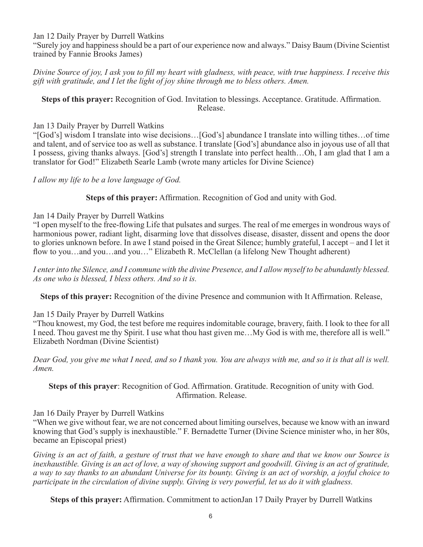Jan 12 Daily Prayer by Durrell Watkins

"Surely joy and happiness should be a part of our experience now and always." Daisy Baum (Divine Scientist trained by Fannie Brooks James)

*Divine Source of joy, I ask you to fill my heart with gladness, with peace, with true happiness. I receive this gift with gratitude, and I let the light of joy shine through me to bless others. Amen.* 

#### **Steps of this prayer:** Recognition of God. Invitation to blessings. Acceptance. Gratitude. Affirmation. Release.

#### Jan 13 Daily Prayer by Durrell Watkins

"[God's] wisdom I translate into wise decisions…[God's] abundance I translate into willing tithes…of time and talent, and of service too as well as substance. I translate [God's] abundance also in joyous use of all that I possess, giving thanks always. [God's] strength I translate into perfect health…Oh, I am glad that I am a translator for God!" Elizabeth Searle Lamb (wrote many articles for Divine Science)

*I allow my life to be a love language of God.* 

**Steps of this prayer:** Affirmation. Recognition of God and unity with God.

#### Jan 14 Daily Prayer by Durrell Watkins

"I open myself to the free-flowing Life that pulsates and surges. The real of me emerges in wondrous ways of harmonious power, radiant light, disarming love that dissolves disease, disaster, dissent and opens the door to glories unknown before. In awe I stand poised in the Great Silence; humbly grateful, I accept – and I let it flow to you…and you…and you…" Elizabeth R. McClellan (a lifelong New Thought adherent)

*I enter into the Silence, and I commune with the divine Presence, and I allow myself to be abundantly blessed. As one who is blessed, I bless others. And so it is.*

**Steps of this prayer:** Recognition of the divine Presence and communion with It Affirmation. Release,

# Jan 15 Daily Prayer by Durrell Watkins

"Thou knowest, my God, the test before me requires indomitable courage, bravery, faith. I look to thee for all I need. Thou gavest me thy Spirit. I use what thou hast given me…My God is with me, therefore all is well." Elizabeth Nordman (Divine Scientist)

*Dear God, you give me what I need, and so I thank you. You are always with me, and so it is that all is well. Amen.* 

**Steps of this prayer**: Recognition of God. Affirmation. Gratitude. Recognition of unity with God. Affirmation. Release.

#### Jan 16 Daily Prayer by Durrell Watkins

"When we give without fear, we are not concerned about limiting ourselves, because we know with an inward knowing that God's supply is inexhaustible." F. Bernadette Turner (Divine Science minister who, in her 80s, became an Episcopal priest)

*Giving is an act of faith, a gesture of trust that we have enough to share and that we know our Source is*  inexhaustible. Giving is an act of love, a way of showing support and goodwill. Giving is an act of gratitude, *a way to say thanks to an abundant Universe for its bounty. Giving is an act of worship, a joyful choice to participate in the circulation of divine supply. Giving is very powerful, let us do it with gladness.*

**Steps of this prayer:** Affirmation. Commitment to actionJan 17 Daily Prayer by Durrell Watkins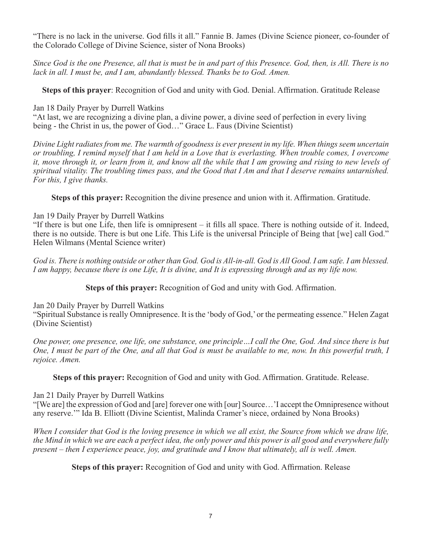"There is no lack in the universe. God fills it all." Fannie B. James (Divine Science pioneer, co-founder of the Colorado College of Divine Science, sister of Nona Brooks)

*Since God is the one Presence, all that is must be in and part of this Presence. God, then, is All. There is no lack in all. I must be, and I am, abundantly blessed. Thanks be to God. Amen.*

**Steps of this prayer**: Recognition of God and unity with God. Denial. Affirmation. Gratitude Release

Jan 18 Daily Prayer by Durrell Watkins

"At last, we are recognizing a divine plan, a divine power, a divine seed of perfection in every living being - the Christ in us, the power of God…" Grace L. Faus (Divine Scientist)

*Divine Light radiates from me. The warmth of goodness is ever present in my life. When things seem uncertain or troubling, I remind myself that I am held in a Love that is everlasting. When trouble comes, I overcome it, move through it, or learn from it, and know all the while that I am growing and rising to new levels of spiritual vitality. The troubling times pass, and the Good that I Am and that I deserve remains untarnished. For this, I give thanks.*

**Steps of this prayer:** Recognition the divine presence and union with it. Affirmation. Gratitude.

# Jan 19 Daily Prayer by Durrell Watkins

"If there is but one Life, then life is omnipresent – it fills all space. There is nothing outside of it. Indeed, there is no outside. There is but one Life. This Life is the universal Principle of Being that [we] call God." Helen Wilmans (Mental Science writer)

God is. There is nothing outside or other than God. God is All-in-all. God is All Good. I am safe. I am blessed. *I am happy, because there is one Life, It is divine, and It is expressing through and as my life now.*

**Steps of this prayer:** Recognition of God and unity with God. Affirmation.

Jan 20 Daily Prayer by Durrell Watkins

"Spiritual Substance is really Omnipresence. It is the 'body of God,' or the permeating essence." Helen Zagat (Divine Scientist)

*One power, one presence, one life, one substance, one principle…I call the One, God. And since there is but One, I must be part of the One, and all that God is must be available to me, now. In this powerful truth, I rejoice. Amen.* 

**Steps of this prayer:** Recognition of God and unity with God. Affirmation. Gratitude. Release.

# Jan 21 Daily Prayer by Durrell Watkins

"[We are] the expression of God and [are] forever one with [our] Source…'I accept the Omnipresence without any reserve.'" Ida B. Elliott (Divine Scientist, Malinda Cramer's niece, ordained by Nona Brooks)

*When I consider that God is the loving presence in which we all exist, the Source from which we draw life, the Mind in which we are each a perfect idea, the only power and this power is all good and everywhere fully present – then I experience peace, joy, and gratitude and I know that ultimately, all is well. Amen.* 

**Steps of this prayer:** Recognition of God and unity with God. Affirmation. Release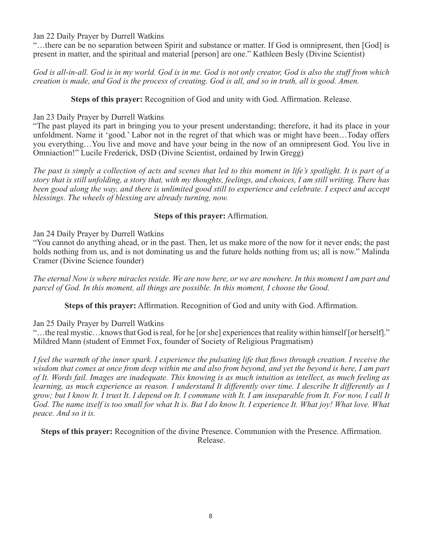#### Jan 22 Daily Prayer by Durrell Watkins

"…there can be no separation between Spirit and substance or matter. If God is omnipresent, then [God] is present in matter, and the spiritual and material [person] are one." Kathleen Besly (Divine Scientist)

*God is all-in-all. God is in my world. God is in me. God is not only creator, God is also the stuff from which creation is made, and God is the process of creating. God is all, and so in truth, all is good. Amen.*

**Steps of this prayer:** Recognition of God and unity with God. Affirmation. Release.

## Jan 23 Daily Prayer by Durrell Watkins

"The past played its part in bringing you to your present understanding; therefore, it had its place in your unfoldment. Name it 'good.' Labor not in the regret of that which was or might have been…Today offers you everything…You live and move and have your being in the now of an omnipresent God. You live in Omniaction!" Lucile Frederick, DSD (Divine Scientist, ordained by Irwin Gregg)

*The past is simply a collection of acts and scenes that led to this moment in life's spotlight. It is part of a story that is still unfolding, a story that, with my thoughts, feelings, and choices, I am still writing. There has been good along the way, and there is unlimited good still to experience and celebrate. I expect and accept blessings. The wheels of blessing are already turning, now.*

# **Steps of this prayer:** Affirmation.

#### Jan 24 Daily Prayer by Durrell Watkins

"You cannot do anything ahead, or in the past. Then, let us make more of the now for it never ends; the past holds nothing from us, and is not dominating us and the future holds nothing from us; all is now." Malinda Cramer (Divine Science founder)

*The eternal Now is where miracles reside. We are now here, or we are nowhere. In this moment I am part and parcel of God. In this moment, all things are possible. In this moment, I choose the Good.*

**Steps of this prayer:** Affirmation. Recognition of God and unity with God. Affirmation.

# Jan 25 Daily Prayer by Durrell Watkins

"…the real mystic…knows that God is real, for he [or she] experiences that reality within himself [or herself]." Mildred Mann (student of Emmet Fox, founder of Society of Religious Pragmatism)

*I feel the warmth of the inner spark. I experience the pulsating life that flows through creation. I receive the wisdom that comes at once from deep within me and also from beyond, and yet the beyond is here, I am part of It. Words fail. Images are inadequate. This knowing is as much intuition as intellect, as much feeling as learning, as much experience as reason. I understand It differently over time. I describe It differently as I grow; but I know It. I trust It. I depend on It. I commune with It. I am inseparable from It. For now, I call It God. The name itself is too small for what It is. But I do know It. I experience It. What joy! What love. What peace. And so it is.* 

**Steps of this prayer:** Recognition of the divine Presence. Communion with the Presence. Affirmation. Release.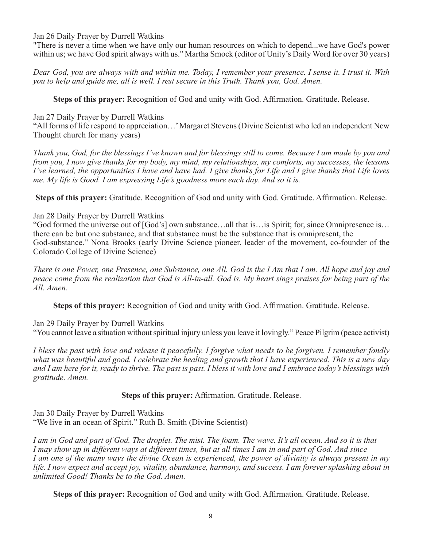Jan 26 Daily Prayer by Durrell Watkins

"There is never a time when we have only our human resources on which to depend...we have God's power within us; we have God spirit always with us." Martha Smock (editor of Unity's Daily Word for over 30 years)

*Dear God, you are always with and within me. Today, I remember your presence. I sense it. I trust it. With you to help and guide me, all is well. I rest secure in this Truth. Thank you, God. Amen.* 

**Steps of this prayer:** Recognition of God and unity with God. Affirmation. Gratitude. Release.

Jan 27 Daily Prayer by Durrell Watkins

"All forms of life respond to appreciation…' Margaret Stevens (Divine Scientist who led an independent New Thought church for many years)

*Thank you, God, for the blessings I've known and for blessings still to come. Because I am made by you and from you, I now give thanks for my body, my mind, my relationships, my comforts, my successes, the lessons I've learned, the opportunities I have and have had. I give thanks for Life and I give thanks that Life loves me. My life is Good. I am expressing Life's goodness more each day. And so it is.*

**Steps of this prayer:** Gratitude. Recognition of God and unity with God. Gratitude. Affirmation. Release.

# Jan 28 Daily Prayer by Durrell Watkins

"God formed the universe out of [God's] own substance…all that is…is Spirit; for, since Omnipresence is… there can be but one substance, and that substance must be the substance that is omnipresent, the God-substance." Nona Brooks (early Divine Science pioneer, leader of the movement, co-founder of the Colorado College of Divine Science)

*There is one Power, one Presence, one Substance, one All. God is the I Am that I am. All hope and joy and peace come from the realization that God is All-in-all. God is. My heart sings praises for being part of the All. Amen.*

**Steps of this prayer:** Recognition of God and unity with God. Affirmation. Gratitude. Release.

Jan 29 Daily Prayer by Durrell Watkins

"You cannot leave a situation without spiritual injury unless you leave it lovingly." Peace Pilgrim (peace activist)

*I bless the past with love and release it peacefully. I forgive what needs to be forgiven. I remember fondly what was beautiful and good. I celebrate the healing and growth that I have experienced. This is a new day and I am here for it, ready to thrive. The past is past. I bless it with love and I embrace today's blessings with gratitude. Amen.*

**Steps of this prayer:** Affirmation. Gratitude. Release.

Jan 30 Daily Prayer by Durrell Watkins "We live in an ocean of Spirit." Ruth B. Smith (Divine Scientist)

*I am in God and part of God. The droplet. The mist. The foam. The wave. It's all ocean. And so it is that I may show up in different ways at different times, but at all times I am in and part of God. And since I am one of the many ways the divine Ocean is experienced, the power of divinity is always present in my life. I now expect and accept joy, vitality, abundance, harmony, and success. I am forever splashing about in unlimited Good! Thanks be to the God. Amen.* 

**Steps of this prayer:** Recognition of God and unity with God. Affirmation. Gratitude. Release.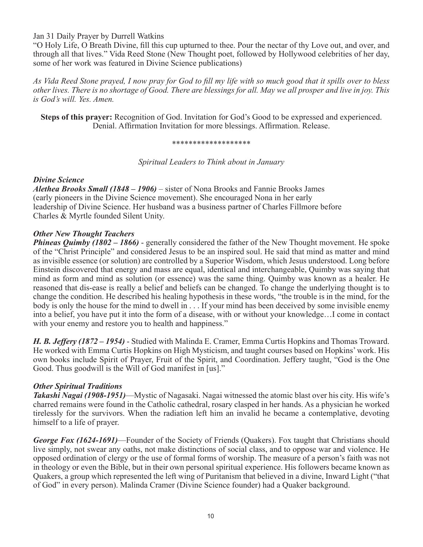Jan 31 Daily Prayer by Durrell Watkins

"O Holy Life, O Breath Divine, fill this cup upturned to thee. Pour the nectar of thy Love out, and over, and through all that lives." Vida Reed Stone (New Thought poet, followed by Hollywood celebrities of her day, some of her work was featured in Divine Science publications)

*As Vida Reed Stone prayed, I now pray for God to fill my life with so much good that it spills over to bless other lives. There is no shortage of Good. There are blessings for all. May we all prosper and live in joy. This is God's will. Yes. Amen.*

**Steps of this prayer:** Recognition of God. Invitation for God's Good to be expressed and experienced. Denial. Affirmation Invitation for more blessings. Affirmation. Release.

#### \*\*\*\*\*\*\*\*\*\*\*\*\*\*\*\*\*\*\*

*Spiritual Leaders to Think about in January*

#### *Divine Science*

*Alethea Brooks Small (1848 – 1906)* – sister of Nona Brooks and Fannie Brooks James (early pioneers in the Divine Science movement). She encouraged Nona in her early leadership of Divine Science. Her husband was a business partner of Charles Fillmore before Charles & Myrtle founded Silent Unity.

#### *Other New Thought Teachers*

*Phineas Quimby (1802 – 1866)* - generally considered the father of the New Thought movement. He spoke of the "Christ Principle" and considered Jesus to be an inspired soul. He said that mind as matter and mind as invisible essence (or solution) are controlled by a Superior Wisdom, which Jesus understood. Long before Einstein discovered that energy and mass are equal, identical and interchangeable, Quimby was saying that mind as form and mind as solution (or essence) was the same thing. Quimby was known as a healer. He reasoned that dis-ease is really a belief and beliefs can be changed. To change the underlying thought is to change the condition. He described his healing hypothesis in these words, "the trouble is in the mind, for the body is only the house for the mind to dwell in . . . If your mind has been deceived by some invisible enemy into a belief, you have put it into the form of a disease, with or without your knowledge…I come in contact with your enemy and restore you to health and happiness."

*H. B. Jeffery (1872 – 1954)* - Studied with Malinda E. Cramer, Emma Curtis Hopkins and Thomas Troward. He worked with Emma Curtis Hopkins on High Mysticism, and taught courses based on Hopkins' work. His own books include Spirit of Prayer, Fruit of the Spirit, and Coordination. Jeffery taught, "God is the One Good. Thus goodwill is the Will of God manifest in [us]."

# *Other Spiritual Traditions*

*Takashi Nagai (1908-1951)*—Mystic of Nagasaki. Nagai witnessed the atomic blast over his city. His wife's charred remains were found in the Catholic cathedral, rosary clasped in her hands. As a physician he worked tirelessly for the survivors. When the radiation left him an invalid he became a contemplative, devoting himself to a life of prayer.

*George Fox (1624-1691)—Founder of the Society of Friends (Quakers). Fox taught that Christians should* live simply, not swear any oaths, not make distinctions of social class, and to oppose war and violence. He opposed ordination of clergy or the use of formal forms of worship. The measure of a person's faith was not in theology or even the Bible, but in their own personal spiritual experience. His followers became known as Quakers, a group which represented the left wing of Puritanism that believed in a divine, Inward Light ("that of God" in every person). Malinda Cramer (Divine Science founder) had a Quaker background.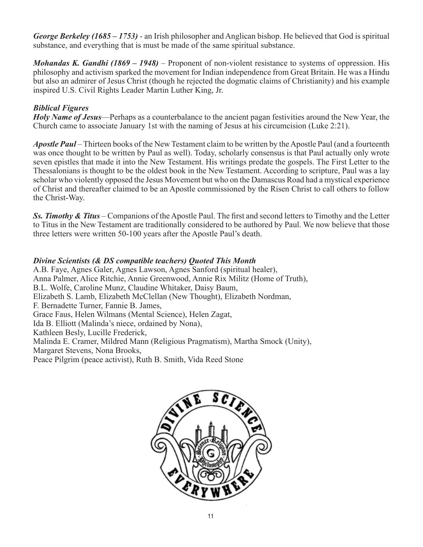*George Berkeley (1685 – 1753)* - an Irish philosopher and Anglican bishop. He believed that God is spiritual substance, and everything that is must be made of the same spiritual substance.

*Mohandas K. Gandhi (1869 – 1948)* – Proponent of non-violent resistance to systems of oppression. His philosophy and activism sparked the movement for Indian independence from Great Britain. He was a Hindu but also an admirer of Jesus Christ (though he rejected the dogmatic claims of Christianity) and his example inspired U.S. Civil Rights Leader Martin Luther King, Jr.

# *Biblical Figures*

*Holy Name of Jesus*—Perhaps as a counterbalance to the ancient pagan festivities around the New Year, the Church came to associate January 1st with the naming of Jesus at his circumcision (Luke 2:21).

*Apostle Paul* – Thirteen books of the New Testament claim to be written by the Apostle Paul (and a fourteenth was once thought to be written by Paul as well). Today, scholarly consensus is that Paul actually only wrote seven epistles that made it into the New Testament. His writings predate the gospels. The First Letter to the Thessalonians is thought to be the oldest book in the New Testament. According to scripture, Paul was a lay scholar who violently opposed the Jesus Movement but who on the Damascus Road had a mystical experience of Christ and thereafter claimed to be an Apostle commissioned by the Risen Christ to call others to follow the Christ-Way.

*Ss. Timothy & Titus* – Companions of the Apostle Paul. The first and second letters to Timothy and the Letter to Titus in the New Testament are traditionally considered to be authored by Paul. We now believe that those three letters were written 50-100 years after the Apostle Paul's death.

#### *Divine Scientists (& DS compatible teachers) Quoted This Month*

A.B. Faye, Agnes Galer, Agnes Lawson, Agnes Sanford (spiritual healer), Anna Palmer, Alice Ritchie, Annie Greenwood, Annie Rix Militz (Home of Truth), B.L. Wolfe, Caroline Munz, Claudine Whitaker, Daisy Baum, Elizabeth S. Lamb, Elizabeth McClellan (New Thought), Elizabeth Nordman, F. Bernadette Turner, Fannie B. James, Grace Faus, Helen Wilmans (Mental Science), Helen Zagat, Ida B. Elliott (Malinda's niece, ordained by Nona), Kathleen Besly, Lucille Frederick, Malinda E. Cramer, Mildred Mann (Religious Pragmatism), Martha Smock (Unity), Margaret Stevens, Nona Brooks, Peace Pilgrim (peace activist), Ruth B. Smith, Vida Reed Stone